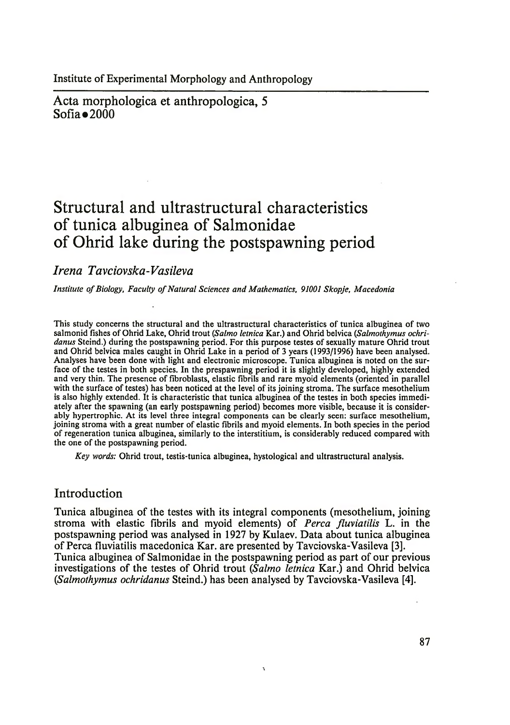Institute of Experimental Morphology and Anthropology

Acta morphologica et anthropologica, 5 Sofia $\bullet$ 2000

# **Structural and ultrastructural characteristics of tunica albuginea of Salmonidae of Ohrid lake during the postspawning period**

# *Irena Tavciovska-Vasileva*

Institute of Biology, Faculty of Natural Sciences and Mathematics, 91001 Skopje, Macedonia

This study concerns the structural and the ultrastructural characteristics of tunica albuginea of two salmonid fishes of Ohrid Lake, Ohrid trout (*Salmo letnica* Kar.) and Ohrid belvica (*Salmothymus ochridanus* Steind.) during the postspawning period. For this purpose testes of sexually mature Ohrid trout and Ohrid belvica males caught in Ohrid Lake in a period of 3 years (1993/1996) have been analysed. Analyses have been done with light and electronic microscope. Tunica albuginea is noted on the surface of the testes in both species. In the prespawning period it is slightly developed, highly extended and very thin. The presence of fibroblasts, elastic fibrils and rare myoid elements (oriented in parallel with the surface of testes) has been noticed at the level of its joining stroma. The surface mesothelium is also highly extended. It is characteristic that tunica albuginea of the testes in both species immediately after the spawning (an early postspawning period) becomes more visible, because it is considerably hypertrophic. At its level three integral components can be clearly seen: surface mesothelium, joining stroma with a great number of elastic fibrils and myoid elements. In both species in the period of regeneration tunica albuginea, similarly to the interstitium, is considerably reduced compared with the one of the postspawning period.

*Key words:* Ohrid trout, testis-tunica albuginea, hystological and ultrastructural analysis.

# Introduction

Tunica albuginea of the testes with its integral components (mesothelium, joining stroma with elastic fibrils and myoid elements) of *Perea fluvialilis* L. in the postspawning period was analysed in 1927 by Kulaev. Data about tunica albuginea of Perea fluviatilis macedonica Kar. are presented by Tavciovska-Vasileva [3]. Tunica albuginea of Salmonidae in the postspawning period as part of our previous investigations of the testes of Ohrid trout *(Salmo letnica* Kar.) and Ohrid belvica G*Salmothymus ochridanus* Steind.) has been analysed by Tavciovska-Vasileva [4].

 $\mathbf{I}$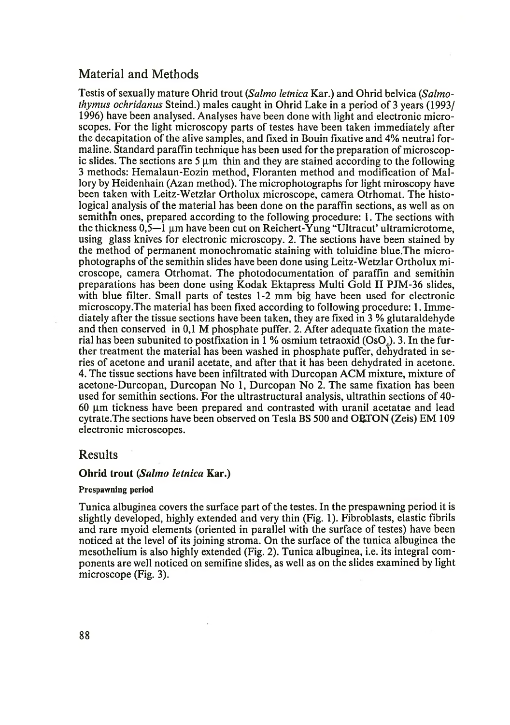# Material and Methods

Testis of sexually mature Ohrid trout *(Salmo letnica* Kar.) and Ohrid belvica (*Salmothymus ochridanus* Steind.) males caught in Ohrid Lake in a period of 3 years (1993/ 1996) have been analysed. Analyses have been done with light and electronic microscopes. For the light microscopy parts of testes have been taken immediately after the decapitation of the alive samples, and fixed in Bouin fixative and 4% neutral formaline. Standard paraffin technique has been used for the preparation of microscopic slides. The sections are  $5 \mu m$  thin and they are stained according to the following 3 methods: Hemalaun-Eozin method, Floranten method and modification of Mallory by Heidenhain (Azan method). The microphotographs for light miroscopy have been taken with Leitz-Wetzlar Ortholux microscope, camera Otrhomat. The histological analysis of the material has been done on the paraffin sections, as well as on semithin ones, prepared according to the following procedure: 1. The sections with the thickness  $0.5-1$  µm have been cut on Reichert-Yung "Ultracut' ultramicrotome, using glass knives for electronic microscopy. 2. The sections have been stained by the method of permanent monochromatic staining with toluidine blue.The microphotographs of the semithin slides have been done using Leitz-Wetzlar Ortholux microscope, camera Otrhomat. The photodocumentation of paraffin and semithin preparations has been done using Kodak Ektapress Multi Gold II PJM-36 slides, with blue filter. Small parts of testes 1-2 mm big have been used for electronic microscopy .The material has been fixed according to following procedure: 1. Immediately after the tissue sections have been taken, they are fixed in 3 % glutaraldehyde and then conserved in 0,1 M phosphate puffer. 2. After adequate fixation the material has been subunited to postfixation in  $1\%$  osmium tetraoxid (OsO). 3. In the further treatment the material has been washed in phosphate puffer, dehydrated in series of acetone and uranil acetate, and after that it has been dehydrated in acetone. 4. The tissue sections have been infiltrated with Durcopan ACM mixture, mixture of acetone-Durcopan, Durcopan No 1, Durcopan No 2. The same fixation has been used for semithin sections. For the ultrastructural analysis, ultrathin sections of 40- 60 pm tickness have been prepared and contrasted with uranil acetatae and lead cytrate.The sections have been observed on Tesla BS 500 and ORTON (Zeis) EM 109 electronic microscopes.

### Results

#### Ohrid trout *(Salmo letnica* Kar.)

#### Prespawning period

Tunica albuginea covers the surface part of the testes. In the prespawning period it is slightly developed, highly extended and very thin (Fig. 1). Fibroblasts, elastic fibrils and rare myoid elements (oriented in parallel with the surface of testes) have been noticed at the level of its joining stroma. On the surface of the tunica albuginea the mesothelium is also highly extended (Fig. 2). Tunica albuginea, i.e. its integral components are well noticed on semifine slides, as well as on the slides examined by light microscope (Fig. 3).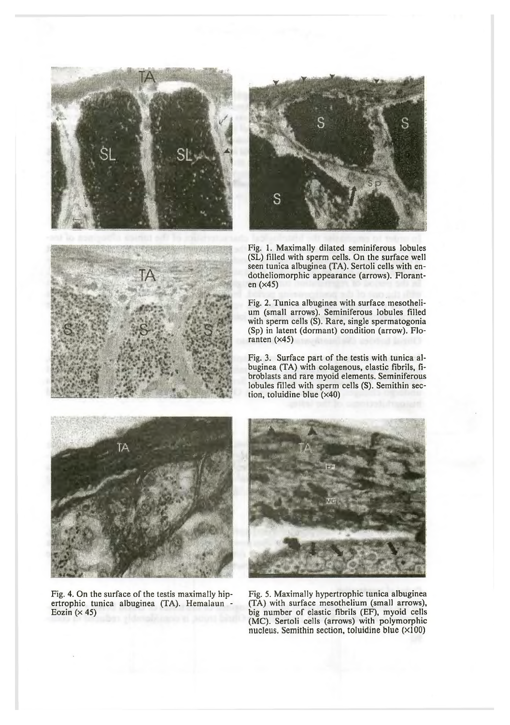





Fig. 1. Maximally dilated seminiferous lobules (SL) filled with sperm cells. On the surface well seen tunica albuginea (TA). Sertoli cells with endotheliomorphic appearance (arrows). Floranten (x45)

Fig. 2. Tunica albuginea with surface mesothelium (small arrows). Seminiferous lobules filled with sperm cells (S). Rare, single spermatogonia (Sp) in latent (dormant) condition (arrow). Floranten  $(x45)$ 

Fig. 3. Surface part of the testis with tunica albuginea (TA) with colagenous, elastic fibrils, fibroblasts and rare myoid elements. Seminiferous lobules filled with sperm cells (S). Semithin section, toluidine blue (x40)



Fig. 4. On the surface of the testis maximally hipertrophic tunica albuginea (TA). Hemalaun - Eozin  $(x 45)$ 



Fig. 5. Maximally hypertrophic tunica albuginea (TA) with surface mesothelium (small arrows), big number of elastic fibrils (EF), myoid cells (MC). Sertoli cells (arrows) with polymorphic nucleus. Semithin section, toluidine blue  $(x100)$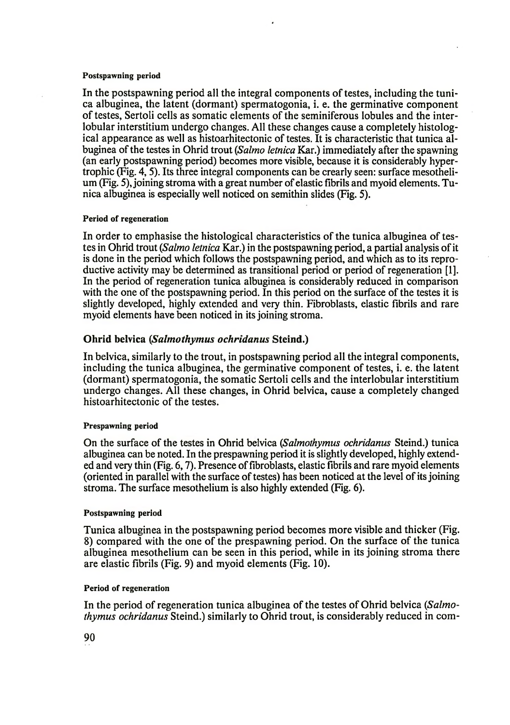#### Postspawning period

In the postspawning period all the integral components of testes, including the tunica albuginea, the latent (dormant) spermatogonia, i. e. the germinative component of testes, Sertoli cells as somatic elements of the seminiferous lobules and the interlobular interstitium undergo changes. All these changes cause a completely histological appearance as well as histoarhitectonic of testes. It is characteristic that tunica albuginea of the testes in Ohrid trout (*Salmo letnica* Kar.) immediately after the spawning (an early postspawning period) becomes more visible, because it is considerably hypertrophic (Fig. 4, 5). Its three integral components can be crearly seen: surface mesothelium (Fig. 5), joining stroma with a great number of elastic fibrils and myoid elements. Tunica albuginea is especially well noticed on semithin slides (Fig. 5).

#### Period of regeneration

In order to emphasise the histological characteristics of the tunica albuginea of testes in Ohrid trout (*Salmo letnica* Kar.) in the postspawning period, a partial analysis of it is done in the period which follows the postspawning period, and which as to its reproductive activity may be determined as transitional period or period of regeneration [1]. In the period of regeneration tunica albuginea is considerably reduced in comparison with the one of the postspawning period. In this period on the surface of the testes it is slightly developed, highly extended and very thin. Fibroblasts, elastic fibrils and rare myoid elements have been noticed in its joining stroma.

#### Ohrid belvica *(Salmothymus ochridanus* Steind.)

In belvica, similarly to the trout, in postspawning period all the integral components, including the tunica albuginea, the germinative component of testes, i. e. the latent (dormant) spermatogonia, the somatic Sertoli cells and the interlobular interstitium undergo changes. All these changes, in Ohrid belvica, cause a completely changed histoarhitectonic of the testes.

#### Prespawning period

On the surface of the testes in Ohrid belvica (*Salmothymus ochridanus* Steind.) tunica albuginea can be noted. In the prespawning period it is slightly developed, highly extended and very thin (Fig. 6,7). Presence of fibroblasts, elastic fibrils and rare myoid elements (oriented in parallel with the surface of testes) has been noticed at the level of its joining stroma. The surface mesothelium is also highly extended (Fig. 6).

#### Postspawning period

Tunica albuginea in the postspawning period becomes more visible and thicker (Fig. 8) compared with the one of the prespawning period. On the surface of the tunica albuginea mesothelium can be seen in this period, while in its joining stroma there are elastic fibrils (Fig. 9) and myoid elements (Fig. 10).

#### Period of regeneration

In the period of regeneration tunica albuginea of the testes of Ohrid belvica (*Salmothymus ochridanus* Steind.) similarly to Ohrid trout, is considerably reduced in com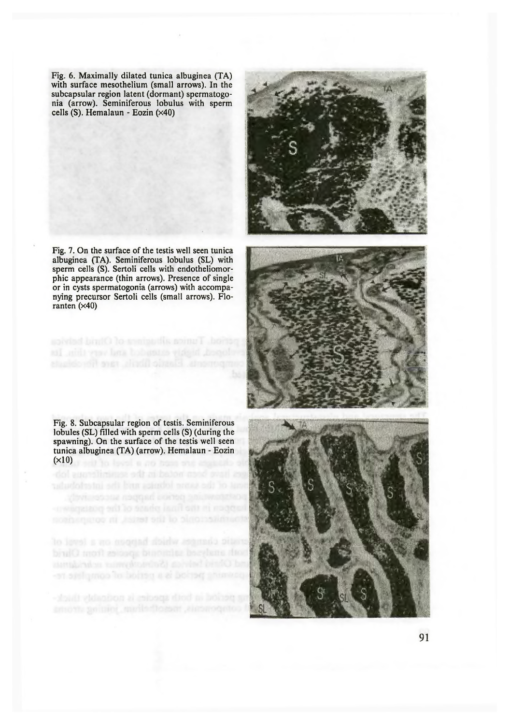Fig. 6. Maximally dilated tunica albuginea (TA) with surface mesothelium (small arrows). In the subcapsular region latent (dormant) spermatogonia (arrow). Seminiferous lobulus with sperm cells (S). Hemalaun - Eozin (x40)

Fig. 7. On the surface of the testis well seen tunica albuginea (TA). Seminiferous lobulus (SL) with sperm cells (S). Sertoli cells with endotheliomorphic appearance (thin arrows). Presence of single or in cysts spermatogonia (arrows) with accompanying precursor Sertoli cells (small arrows). Floranten  $(x40)$ 





Fig. 8. Subcapsular region of testis. Seminiferous lobules (SL) filled with sperm cells (S) (during the spawning). On the surface of the testis well seen tunica albuginea (TA) (arrow). Hemalaun - Eozin  $(x10)$ 

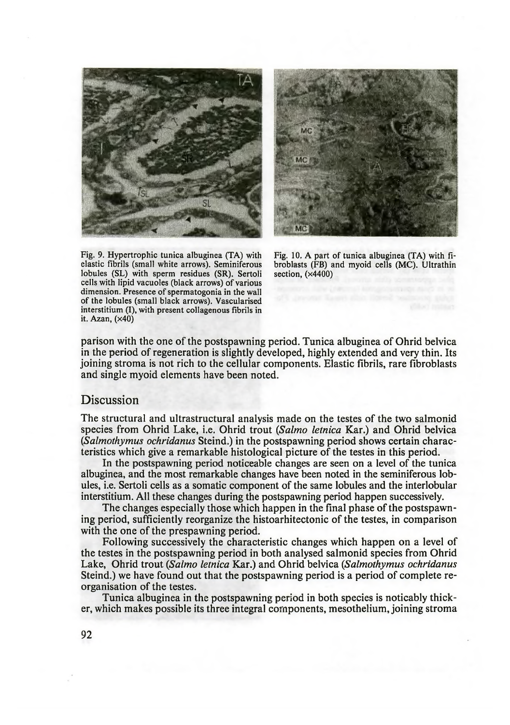



elastic fibrils (small white arrows). Seminiferous broblasts (FB) a lobules (SL) with sperm residues (SR). Sertoli section, (×4400) lobules (SL) with sperm residues (SR). Sertoli cells with lipid vacuoles (black arrows) of various dimension. Presence of spermatogonia in the wall of the lobules (small black arrows). Vascularised interstitium (I), with present collagenous fibrils in it. Azan, (x40)

Fig. 9. Hypertrophic tunica albuginea (TA) with Fig. 10. A part of tunica albuginea (TA) with fielastic fibrils (small white arrows). Seminiferous broblasts (FB) and myoid cells (MC). Ultrathin

parison with the one of the postspawning period. Tunica albuginea of Ohrid belvica in the period of regeneration is slightly developed, highly extended and very thin. Its joining stroma is not rich to the cellular components. Elastic fibrils, rare fibroblasts and single myoid elements have been noted.

### Discussion

The structural and ultrastructural analysis made on the testes of the two salmonid species from Ohrid Lake, i.e. Ohrid trout *{Salmo letnica* Kar.) and Ohrid belvica *(Salmothymus ochridanus* Steind.) in the postspawning period shows certain characteristics which give a remarkable histological picture of the testes in this period.

In the postspawning period noticeable changes are seen on a level of the tunica albuginea, and the most remarkable changes have been noted in the seminiferous lobules, i.e. Sertoli cells as a somatic component of the same lobules and the interlobular interstitium. All these changes during the postspawning period happen successively.

The changes especially those which happen in the final phase of the postspawning period, sufficiently reorganize the histoarhitectonic of the testes, in comparison with the one of the prespawning period.

Following successively the characteristic changes which happen on a level of the testes in the postspawning period in both analysed salmonid species from Ohrid Lake, Ohrid trout *{Salmo letnica* Kar.) and Ohrid belvica *{Salmothymus ochridanus* Steind.) we have found out that the postspawning period is a period of complete reorganisation of the testes.

Tunica albuginea in the postspawning period in both species is noticably thicker, which makes possible its three integral components, mesothelium, joining stroma